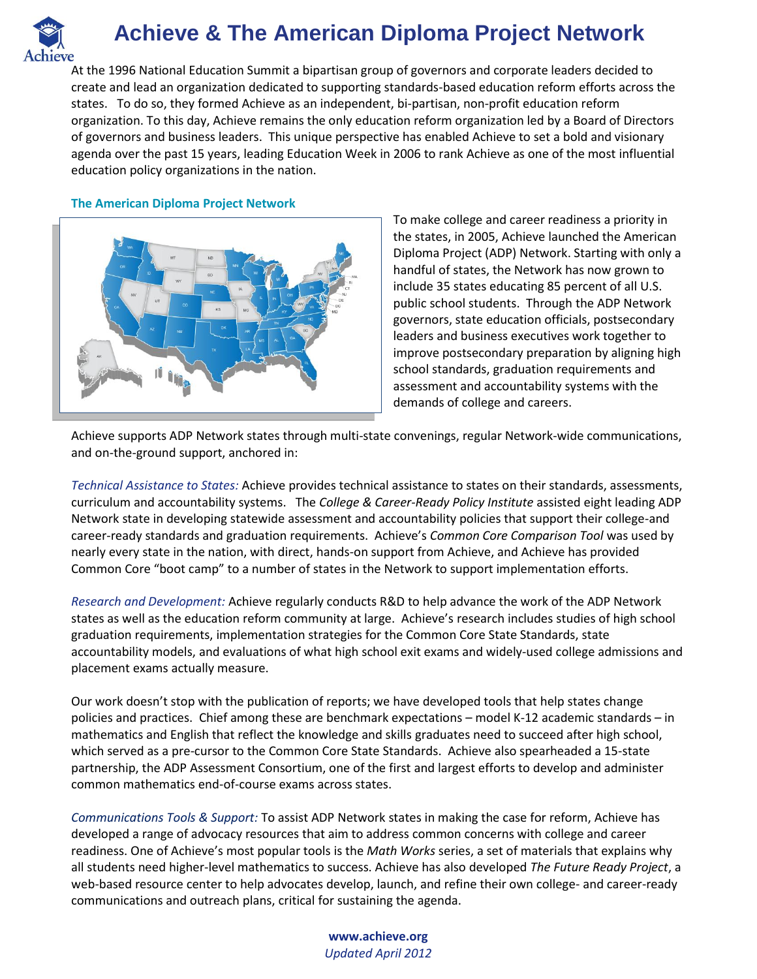

## **Achieve & The American Diploma Project Network**

At the 1996 National Education Summit a bipartisan group of governors and corporate leaders decided to create and lead an organization dedicated to supporting standards-based education reform efforts across the states. To do so, they formed Achieve as an independent, bi-partisan, non-profit education reform organization. To this day, Achieve remains the only education reform organization led by a Board of Directors of governors and business leaders. This unique perspective has enabled Achieve to set a bold and visionary agenda over the past 15 years, leading Education Week in 2006 to rank Achieve as one of the most influential education policy organizations in the nation.

## **The American Diploma Project Network**



To make college and career readiness a priority in the states, in 2005, Achieve launched the American Diploma Project (ADP) Network. Starting with only a handful of states, the Network has now grown to include 35 states educating 85 percent of all U.S. public school students. Through the ADP Network governors, state education officials, postsecondary leaders and business executives work together to improve postsecondary preparation by aligning high school standards, graduation requirements and assessment and accountability systems with the demands of college and careers.

Achieve supports ADP Network states through multi-state convenings, regular Network-wide communications, and on-the-ground support, anchored in:

*Technical Assistance to States:* Achieve provides technical assistance to states on their standards, assessments, curriculum and accountability systems. The *College & Career-Ready Policy Institute* assisted eight leading ADP Network state in developing statewide assessment and accountability policies that support their college-and career-ready standards and graduation requirements. Achieve's *Common Core Comparison Tool* was used by nearly every state in the nation, with direct, hands-on support from Achieve, and Achieve has provided Common Core "boot camp" to a number of states in the Network to support implementation efforts.

*Research and Development:* Achieve regularly conducts R&D to help advance the work of the ADP Network states as well as the education reform community at large. Achieve's research includes studies of high school graduation requirements, implementation strategies for the Common Core State Standards, state accountability models, and evaluations of what high school exit exams and widely-used college admissions and placement exams actually measure.

Our work doesn't stop with the publication of reports; we have developed tools that help states change policies and practices. Chief among these are benchmark expectations – model K-12 academic standards – in mathematics and English that reflect the knowledge and skills graduates need to succeed after high school, which served as a pre-cursor to the Common Core State Standards. Achieve also spearheaded a 15-state partnership, the ADP Assessment Consortium, one of the first and largest efforts to develop and administer common mathematics end-of-course exams across states.

*Communications Tools & Support:* To assist ADP Network states in making the case for reform, Achieve has developed a range of advocacy resources that aim to address common concerns with college and career readiness. One of Achieve's most popular tools is the *Math Works* series, a set of materials that explains why all students need higher-level mathematics to success. Achieve has also developed *The Future Ready Project*, a web-based resource center to help advocates develop, launch, and refine their own college- and career-ready communications and outreach plans, critical for sustaining the agenda.

> **www.achieve.org** *Updated April 2012*